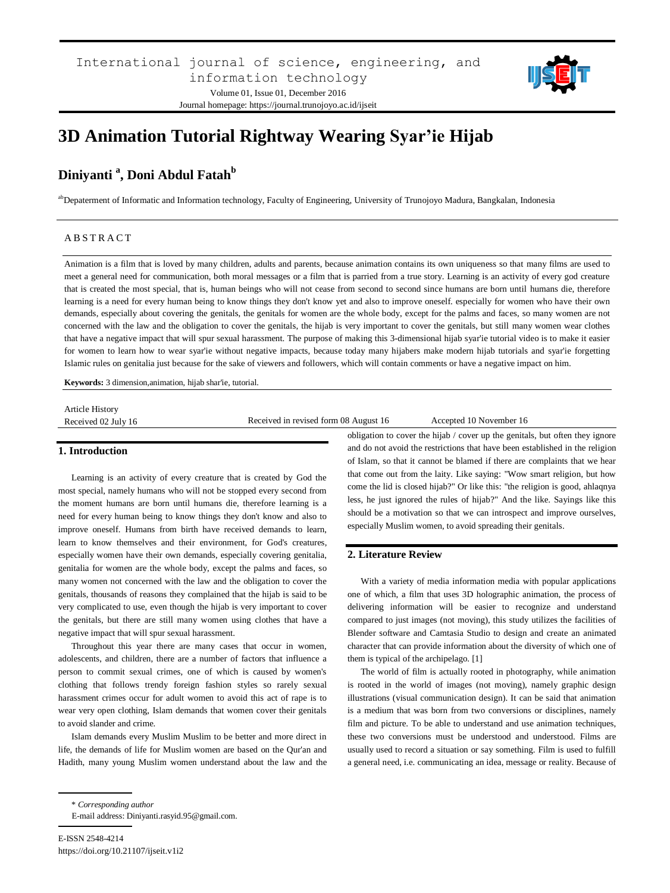

# **3D Animation Tutorial Rightway Wearing Syar'ie Hijab**

# **Diniyanti <sup>a</sup> , Doni Abdul Fatah<sup>b</sup>**

abDepaterment of Informatic and Information technology, Faculty of Engineering, University of Trunojoyo Madura, Bangkalan, Indonesia

#### A B S T R A C T

Animation is a film that is loved by many children, adults and parents, because animation contains its own uniqueness so that many films are used to meet a general need for communication, both moral messages or a film that is parried from a true story. Learning is an activity of every god creature that is created the most special, that is, human beings who will not cease from second to second since humans are born until humans die, therefore learning is a need for every human being to know things they don't know yet and also to improve oneself. especially for women who have their own demands, especially about covering the genitals, the genitals for women are the whole body, except for the palms and faces, so many women are not concerned with the law and the obligation to cover the genitals, the hijab is very important to cover the genitals, but still many women wear clothes that have a negative impact that will spur sexual harassment. The purpose of making this 3-dimensional hijab syar'ie tutorial video is to make it easier for women to learn how to wear syar'ie without negative impacts, because today many hijabers make modern hijab tutorials and syar'ie forgetting Islamic rules on genitalia just because for the sake of viewers and followers, which will contain comments or have a negative impact on him.

**Keywords:** 3 dimension,animation, hijab shar'ie, tutorial.

| <b>Article History</b> |                                       |                         |
|------------------------|---------------------------------------|-------------------------|
| Received 02 July 16    | Received in revised form 08 August 16 | Accepted 10 November 16 |
|                        |                                       |                         |

# **1. Introduction**

Learning is an activity of every creature that is created by God the most special, namely humans who will not be stopped every second from the moment humans are born until humans die, therefore learning is a need for every human being to know things they don't know and also to improve oneself. Humans from birth have received demands to learn, learn to know themselves and their environment, for God's creatures, especially women have their own demands, especially covering genitalia, genitalia for women are the whole body, except the palms and faces, so many women not concerned with the law and the obligation to cover the genitals, thousands of reasons they complained that the hijab is said to be very complicated to use, even though the hijab is very important to cover the genitals, but there are still many women using clothes that have a negative impact that will spur sexual harassment.

Throughout this year there are many cases that occur in women, adolescents, and children, there are a number of factors that influence a person to commit sexual crimes, one of which is caused by women's clothing that follows trendy foreign fashion styles so rarely sexual harassment crimes occur for adult women to avoid this act of rape is to wear very open clothing, Islam demands that women cover their genitals to avoid slander and crime.

Islam demands every Muslim Muslim to be better and more direct in life, the demands of life for Muslim women are based on the Qur'an and Hadith, many young Muslim women understand about the law and the obligation to cover the hijab / cover up the genitals, but often they ignore and do not avoid the restrictions that have been established in the religion of Islam, so that it cannot be blamed if there are complaints that we hear that come out from the laity. Like saying: "Wow smart religion, but how come the lid is closed hijab?" Or like this: "the religion is good, ahlaqnya less, he just ignored the rules of hijab?" And the like. Sayings like this should be a motivation so that we can introspect and improve ourselves, especially Muslim women, to avoid spreading their genitals.

# **2. Literature Review**

With a variety of media information media with popular applications one of which, a film that uses 3D holographic animation, the process of delivering information will be easier to recognize and understand compared to just images (not moving), this study utilizes the facilities of Blender software and Camtasia Studio to design and create an animated character that can provide information about the diversity of which one of them is typical of the archipelago. [1]

The world of film is actually rooted in photography, while animation is rooted in the world of images (not moving), namely graphic design illustrations (visual communication design). It can be said that animation is a medium that was born from two conversions or disciplines, namely film and picture. To be able to understand and use animation techniques, these two conversions must be understood and understood. Films are usually used to record a situation or say something. Film is used to fulfill a general need, i.e. communicating an idea, message or reality. Because of

<sup>\*</sup> *Corresponding author*

E-mail address: Diniyanti.rasyid.95@gmail.com.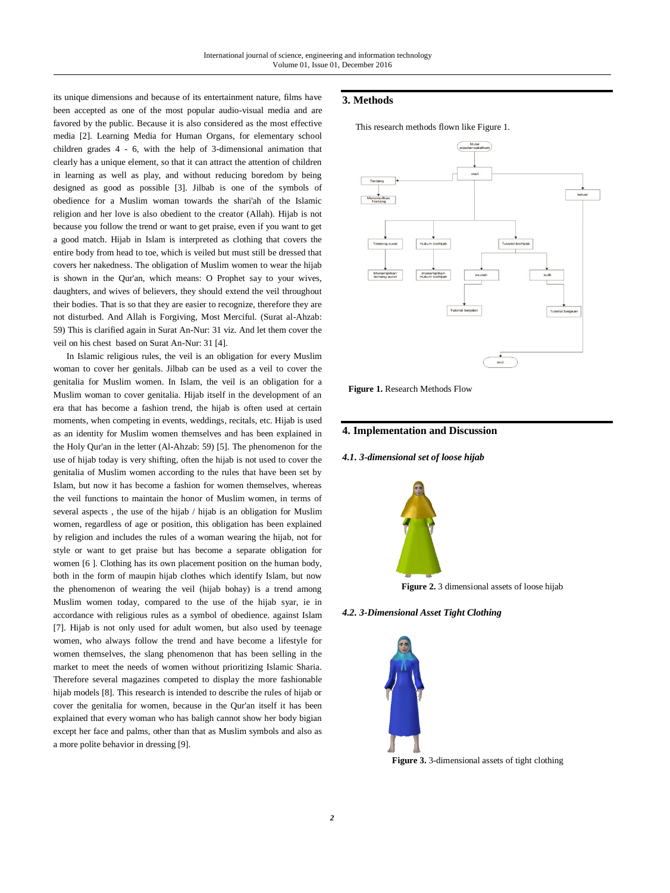its unique dimensions and because of its entertainment nature, films have been accepted as one of the most popular audio-visual media and are favored by the public. Because it is also considered as the most effective media [2]. Learning Media for Human Organs, for elementary school children grades 4 - 6, with the help of 3-dimensional animation that clearly has a unique element, so that it can attract the attention of children in learning as well as play, and without reducing boredom by being designed as good as possible [3]. Jilbab is one of the symbols of obedience for a Muslim woman towards the shari'ah of the Islamic religion and her love is also obedient to the creator (Allah). Hijab is not because you follow the trend or want to get praise, even if you want to get a good match. Hijab in Islam is interpreted as clothing that covers the entire body from head to toe, which is veiled but must still be dressed that covers her nakedness. The obligation of Muslim women to wear the hijab is shown in the Qur'an, which means: O Prophet say to your wives, daughters, and wives of believers, they should extend the veil throughout their bodies. That is so that they are easier to recognize, therefore they are not disturbed. And Allah is Forgiving, Most Merciful. (Surat al-Ahzab: 59) This is clarified again in Surat An-Nur: 31 viz. And let them cover the veil on his chest based on Surat An-Nur: 31 [4].

In Islamic religious rules, the veil is an obligation for every Muslim woman to cover her genitals. Jilbab can be used as a veil to cover the genitalia for Muslim women. In Islam, the veil is an obligation for a Muslim woman to cover genitalia. Hijab itself in the development of an era that has become a fashion trend, the hijab is often used at certain moments, when competing in events, weddings, recitals, etc. Hijab is used as an identity for Muslim women themselves and has been explained in the Holy Qur'an in the letter (Al-Ahzab: 59) [5]. The phenomenon for the use of hijab today is very shifting, often the hijab is not used to cover the genitalia of Muslim women according to the rules that have been set by Islam, but now it has become a fashion for women themselves, whereas the veil functions to maintain the honor of Muslim women, in terms of several aspects , the use of the hijab / hijab is an obligation for Muslim women, regardless of age or position, this obligation has been explained by religion and includes the rules of a woman wearing the hijab, not for style or want to get praise but has become a separate obligation for women [6 ]. Clothing has its own placement position on the human body, both in the form of maupin hijab clothes which identify Islam, but now the phenomenon of wearing the veil (hijab bohay) is a trend among Muslim women today, compared to the use of the hijab syar, ie in accordance with religious rules as a symbol of obedience. against Islam [7]. Hijab is not only used for adult women, but also used by teenage women, who always follow the trend and have become a lifestyle for women themselves, the slang phenomenon that has been selling in the market to meet the needs of women without prioritizing Islamic Sharia. Therefore several magazines competed to display the more fashionable hijab models [8]. This research is intended to describe the rules of hijab or cover the genitalia for women, because in the Qur'an itself it has been explained that every woman who has baligh cannot show her body bigian except her face and palms, other than that as Muslim symbols and also as a more polite behavior in dressing [9].

# **3. Methods**

This research methods flown like Figure 1.



**Figure 1.** Research Methods Flow

#### **4. Implementation and Discussion**

#### *4.1. 3-dimensional set of loose hijab*



**Figure 2.** 3 dimensional assets of loose hijab

#### *4.2. 3-Dimensional Asset Tight Clothing*



**Figure 3.** 3-dimensional assets of tight clothing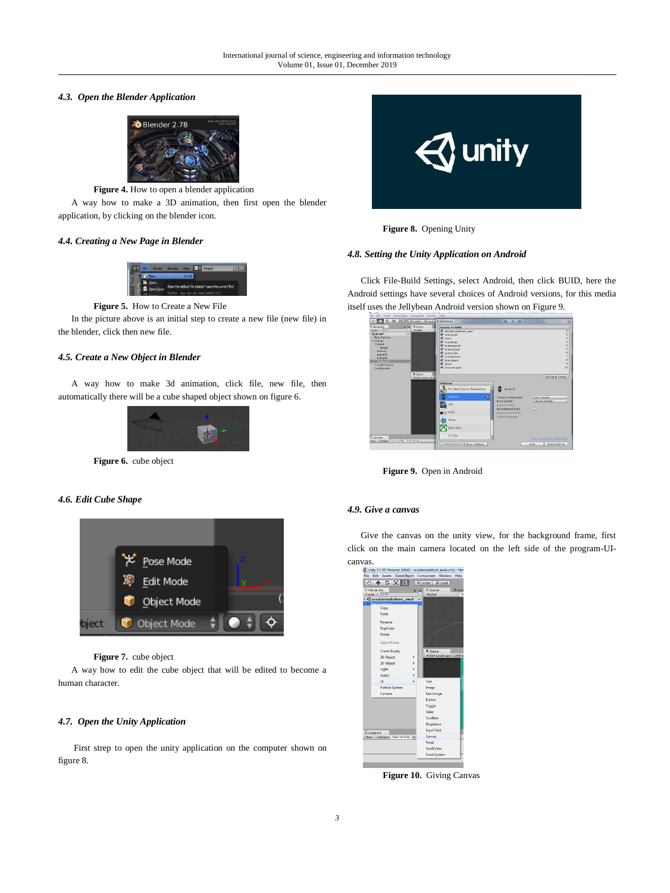#### *4.3. Open the Blender Application*



**Figure 4.** How to open a blender application

A way how to make a 3D animation, then first open the blender application, by clicking on the blender icon.

#### *4.4. Creating a New Page in Blender*



**Figure 5.** How to Create a New File

In the picture above is an initial step to create a new file (new file) in the blender, click then new file.

#### *4.5. Create a New Object in Blender*

A way how to make 3d animation, click file, new file, then automatically there will be a cube shaped object shown on figure 6.



**Figure 6.** cube object

#### *4.6. Edit Cube Shape*



#### **Figure 7.** cube object

A way how to edit the cube object that will be edited to become a human character.

### *4.7. Open the Unity Application*

First strep to open the unity application on the computer shown on figure 8.



**Figure 8.** Opening Unity

#### *4.8. Setting the Unity Application on Android*

Click File-Build Settings, select Android, then click BUID, here the Android settings have several choices of Android versions, for this media itself uses the Jellybean Android version shown on Figure 9.

| 中文区目                                                                                                                                                                                                   | K Center B Local                  | <b>Build Settings</b>                                                                                                                                                                                                             | ۰<br>۰                                                                                                                                          | 屇                                                                                                                                |
|--------------------------------------------------------------------------------------------------------------------------------------------------------------------------------------------------------|-----------------------------------|-----------------------------------------------------------------------------------------------------------------------------------------------------------------------------------------------------------------------------------|-------------------------------------------------------------------------------------------------------------------------------------------------|----------------------------------------------------------------------------------------------------------------------------------|
| II Herarchy<br>R.M.<br>Create > CHAI<br>Cabout"<br>$+10$<br>Main Camera<br>* Canvas<br><b>TPanel</b><br>Image<br>testans<br><b>broutik</b><br>backpink<br>Innapo (1)<br>I- Audio Source<br>EventSystem | Ill Scene<br><b>Skolad</b>        | <b>Scenes In Build</b><br>assismualakum anal<br>M menusudul<br>W limited<br>Contuction W<br><b>M</b> tentenpourat<br>of tentanghijab<br>Counskurns<br><b>W</b> manufacturial<br><b>W</b> tutorialsulit<br>V about<br>atenualmudah |                                                                                                                                                 | <b>O H N H</b><br>$\frac{4}{5}$<br>$\frac{6}{7}$<br>9<br>9<br>30                                                                 |
| <b>D</b> Console                                                                                                                                                                                       | C Game<br><b>NXGA Landscape D</b> | Platform<br>PC, Mac & Linux Standalone<br>Þ<br>Android<br>$\triangleleft$<br>ios<br><b>C</b> ty tros<br>÷.<br>Tizen<br>Xbox One<br><b>PS Vita</b>                                                                                 | Android<br><b>Texture Compression</b><br><b>Build System</b><br>Export Project<br>Development Build<br>Autoconnect Fretiler<br>Stript Debugging | Add Open Scenes<br><b>Dan't override</b><br>$\ddot{\text{z}}$<br><b>Internal (Default)</b><br>x<br>Learn about Units Claud Build |
| Clear Callagge Clear on Play Error Pauge                                                                                                                                                               |                                   | Encch Halform II Flaver Settings                                                                                                                                                                                                  |                                                                                                                                                 | <b>Ruild</b><br>Build And Run                                                                                                    |

**Figure 9.** Open in Android

#### *4.9. Give a canvas*

Give the canvas on the unity view, for the background frame, first click on the main camera located on the left side of the program-UIcanvas.

| 中文区画                            |             | Edit Assets GameObject Component Window<br>Help<br>Center CLocal |
|---------------------------------|-------------|------------------------------------------------------------------|
| E Hierarchy<br>Create - C-All   | <b>Vitt</b> | ₩ Scene<br><b>BASS</b><br>Shaded<br>$-120$                       |
| <b>Gassalamualaikum awal</b>    | viii        |                                                                  |
| Copy                            |             |                                                                  |
| Paste                           |             |                                                                  |
| Rename                          |             |                                                                  |
| Duplicate                       |             |                                                                  |
| Delete                          |             |                                                                  |
| Select Prefab                   |             |                                                                  |
| Create Empty                    |             | C Game                                                           |
| 3D Object                       |             | WXGA Landscape (1280x8                                           |
| 2D Object                       |             |                                                                  |
| Light                           |             |                                                                  |
| Audio                           |             |                                                                  |
| LIT.                            |             | Text                                                             |
| Particle System                 |             | Image                                                            |
| Camera                          |             | Raw Image                                                        |
|                                 |             | Rutton                                                           |
|                                 |             | Toggle                                                           |
|                                 |             | Slider                                                           |
|                                 |             | Scrollbar                                                        |
|                                 |             | Dropdown                                                         |
| El Console                      |             | <b>Input Field</b>                                               |
| Clear Cellapse Clear on Play Er |             | Canvas                                                           |
|                                 |             | Panel                                                            |
|                                 |             | Scroll View                                                      |
|                                 |             | <b>Event System</b>                                              |

**Figure 10.** Giving Canvas